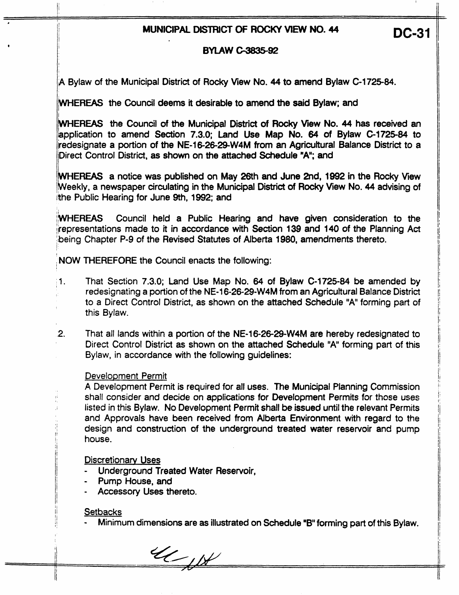# **MUNICIPAL DISTRICT OF ROCKY VIEW NO. 44** DC-31

## **BYLAW C-3835-92**

,A Bylaw of the Municipal District of Rocky View No. 44 to amend Bylaw **C-172584.** 

**PEREAS** the Council **deems** it desitabie **to amend** the **said** Bylaw; and

**WEREAS** the Council of the Municipal District of Rocky View No. 44 has received **an**  lapplication to amend Section 7.3.0; Land **Use** Map No. **64** of Bylaw **C-1725-84** to iredesignate a portion of the **NE116-26-29-W4M** from an Agricultural Balance District to a Direct Control District, as shown on the attached Schedule "A"; and

**EREAS** a notice was published on May 26th **and** June **2nd, 1992** in the Rocky View b eekly, a newspaper circulating in the Municipal **District** of Rocky View No. 44 advising of ithe Public Hearing for June 9th, 1992; and

/MIHEREAS Council held a Public Hearing and have given consideration to the ijrepresentations made to it in accordance with Section **139** and **140** of the Planning Act being Chapter P-9 of the Revised Statutes of Alberta 1980, amendments thereto.

**NOW THEREFORE the Council enacts the following:** 

- That Section 7.3.0; Land Use **Map** No. **64** of Bylaw **C-172584** be amended by  $\mathbf{1}$ . redesignating a portion of the **NE4 6-26-29-W4M** from an Agricultural Balance District to a Direct Control District, as shown on the attached Schedule **"A'** forming **part** of this Bylaw.
- $2.$ That all lands within a portion of the NE-16-26-29-W4M are hereby redesignated to Direct Control District as shown on the attached Schedule **"A"** forming part of this Bylaw, in accordance with the following guidelines:

#### Development Permit

I ,

I

A Development Permit is required for **afl** uses. The Municipal Planning Commission shail consider and decide on applications for Development Permits for those uses listed in this Bylaw. **No** Development Permit shall be issued until the relevant Permits and Approvals have been received from Alberta Environment with regard to the design and construction of the underground treated water reservoir and pump house.

#### Discretionarv **Uses**

- Underground Treated Water Reservoir,
- Pump House, and
- Accessory Uses thereto.

### **Setbacks**

- Minimum dimensions are as illustrated on Schedule **"B** forming part of this Bylaw.

 $\alpha_{\mu}$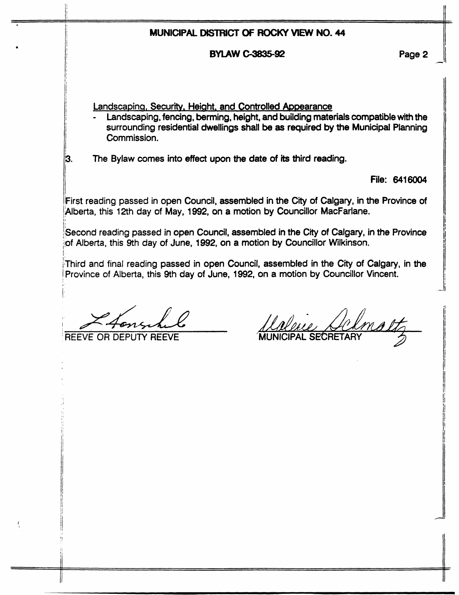|       |                                                                                                                                                                                                                                                  | MUNICIPAL DISTRICT OF ROCKY VIEW NO. 44 |               |
|-------|--------------------------------------------------------------------------------------------------------------------------------------------------------------------------------------------------------------------------------------------------|-----------------------------------------|---------------|
|       |                                                                                                                                                                                                                                                  | <b>BYLAW C-3835-92</b>                  | Page 2        |
|       | Landscaping, Security, Height, and Controlled Appearance<br>Landscaping, fencing, berming, height, and building materials compatible with the<br>surrounding residential dwellings shall be as required by the Municipal Planning<br>Commission. |                                         |               |
| 3.    | The Bylaw comes into effect upon the date of its third reading.                                                                                                                                                                                  |                                         |               |
|       |                                                                                                                                                                                                                                                  |                                         | File: 6416004 |
|       | First reading passed in open Council, assembled in the City of Calgary, in the Province of<br>Alberta, this 12th day of May, 1992, on a motion by Councillor MacFarlane.                                                                         |                                         |               |
|       | Second reading passed in open Council, assembled in the City of Calgary, in the Province<br>of Alberta, this 9th day of June, 1992, on a motion by Councillor Wilkinson.                                                                         |                                         |               |
|       | Third and final reading passed in open Council, assembled in the City of Calgary, in the<br>Province of Alberta, this 9th day of June, 1992, on a motion by Councillor Vincent.                                                                  |                                         |               |
| RFFVF |                                                                                                                                                                                                                                                  |                                         |               |
|       |                                                                                                                                                                                                                                                  |                                         |               |
|       |                                                                                                                                                                                                                                                  |                                         |               |
|       |                                                                                                                                                                                                                                                  |                                         |               |
|       |                                                                                                                                                                                                                                                  |                                         |               |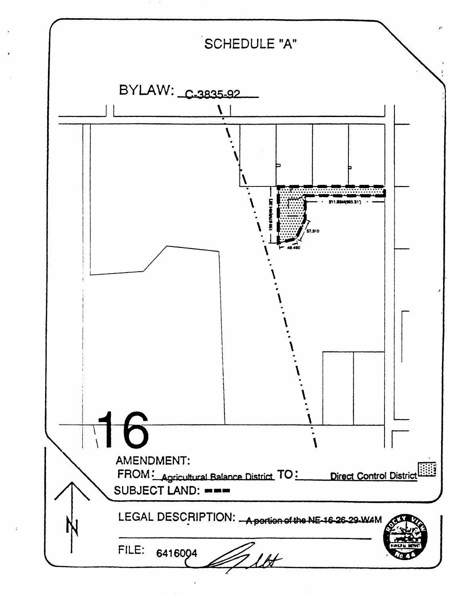